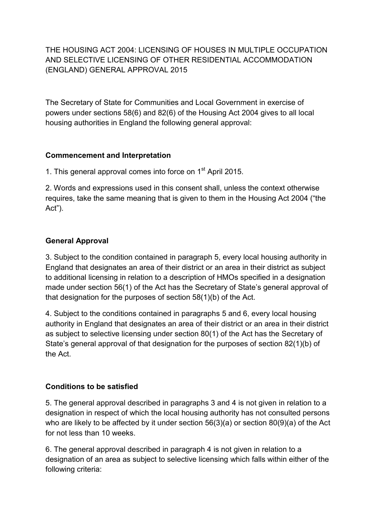# THE HOUSING ACT 2004: LICENSING OF HOUSES IN MULTIPLE OCCUPATION AND SELECTIVE LICENSING OF OTHER RESIDENTIAL ACCOMMODATION (ENGLAND) GENERAL APPROVAL 2015

The Secretary of State for Communities and Local Government in exercise of powers under sections 58(6) and 82(6) of the Housing Act 2004 gives to all local housing authorities in England the following general approval:

# **Commencement and Interpretation**

1. This general approval comes into force on  $1<sup>st</sup>$  April 2015.

2. Words and expressions used in this consent shall, unless the context otherwise requires, take the same meaning that is given to them in the Housing Act 2004 ("the Act").

### **General Approval**

3. Subject to the condition contained in paragraph 5, every local housing authority in England that designates an area of their district or an area in their district as subject to additional licensing in relation to a description of HMOs specified in a designation made under section 56(1) of the Act has the Secretary of State's general approval of that designation for the purposes of section 58(1)(b) of the Act.

4. Subject to the conditions contained in paragraphs 5 and 6, every local housing authority in England that designates an area of their district or an area in their district as subject to selective licensing under section 80(1) of the Act has the Secretary of State's general approval of that designation for the purposes of section 82(1)(b) of the Act.

# **Conditions to be satisfied**

5. The general approval described in paragraphs 3 and 4 is not given in relation to a designation in respect of which the local housing authority has not consulted persons who are likely to be affected by it under section 56(3)(a) or section 80(9)(a) of the Act for not less than 10 weeks.

6. The general approval described in paragraph 4 is not given in relation to a designation of an area as subject to selective licensing which falls within either of the following criteria: